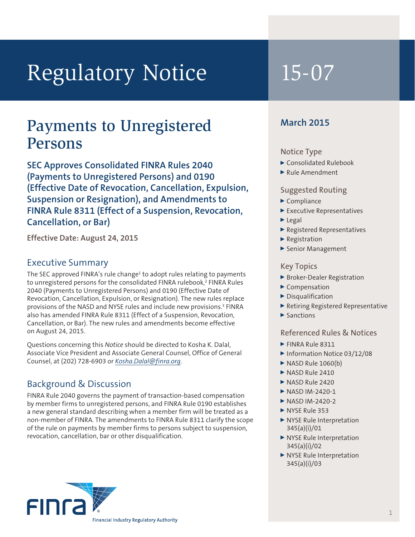# Regulatory Notice 15-07

# Payments to Unregistered Persons

**SEC Approves Consolidated FINRA Rules 2040 (Payments to Unregistered Persons) and 0190 (Effective Date of Revocation, Cancellation, Expulsion, Suspension or Resignation), and Amendments to FINRA Rule 8311 (Effect of a Suspension, Revocation, Cancellation, or Bar)**

**Effective Date: August 24, 2015**

# Executive Summary

The SEC approved FINRA's rule change<sup>1</sup> to adopt rules relating to payments to unregistered persons for the consolidated FINRA rulebook,<sup>2</sup> FINRA Rules 2040 (Payments to Unregistered Persons) and 0190 (Effective Date of Revocation, Cancellation, Expulsion, or Resignation). The new rules replace provisions of the NASD and NYSE rules and include new provisions.<sup>3</sup> FINRA also has amended FINRA Rule 8311 (Effect of a Suspension, Revocation, Cancellation, or Bar). The new rules and amendments become effective on August 24, 2015.

Questions concerning this *Notice* should be directed to Kosha K. Dalal, Associate Vice President and Associate General Counsel, Office of General Counsel, at (202) 728-6903 or *Kosha.Dalal@finra.org*.

# Background & Discussion

FINRA Rule 2040 governs the payment of transaction-based compensation by member firms to unregistered persons, and FINRA Rule 0190 establishes a new general standard describing when a member firm will be treated as a non-member of FINRA. The amendments to FINRA Rule 8311 clarify the scope of the rule on payments by member firms to persons subject to suspension, revocation, cancellation, bar or other disqualification.



# **March 2015**

#### Notice Type

- ▶ Consolidated Rulebook
- $\blacktriangleright$  Rule Amendment

#### Suggested Routing

- $\blacktriangleright$  Compliance
- <sup>0</sup> Executive Representatives
- $\blacktriangleright$  Legal
- <sup>0</sup> Registered Representatives
- $\blacktriangleright$  Registration
- ▶ Senior Management

### Key Topics

- ▶ Broker-Dealer Registration
- $\blacktriangleright$  Compensation
- $\blacktriangleright$  Disqualification
- <sup>0</sup> Retiring Registered Representative
- $\blacktriangleright$  Sanctions

#### Referenced Rules & Notices

- $\blacktriangleright$  FINRA Rule 8311
- ▶ Information Notice 03/12/08
- $\triangleright$  NASD Rule 1060(b)
- $\triangleright$  NASD Rule 2410
- $\triangleright$  NASD Rule 2420
- $\triangleright$  NASD IM-2420-1
- $\triangleright$  NASD IM-2420-2
- $\triangleright$  NYSE Rule 353
- ▶ NYSE Rule Interpretation 345(a)(i)/01
- ▶ NYSE Rule Interpretation 345(a)(i)/02
- <sup>0</sup> NYSE Rule Interpretation 345(a)(i)/03

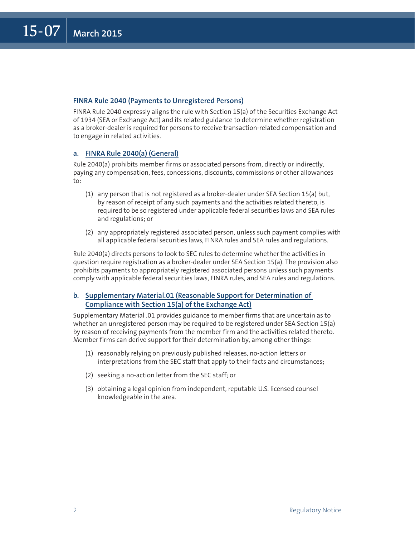#### **FINRA Rule 2040 (Payments to Unregistered Persons)**

FINRA Rule 2040 expressly aligns the rule with Section 15(a) of the Securities Exchange Act of 1934 (SEA or Exchange Act) and its related guidance to determine whether registration as a broker-dealer is required for persons to receive transaction-related compensation and to engage in related activities.

#### **a. FINRA Rule 2040(a) (General)**

Rule 2040(a) prohibits member firms or associated persons from, directly or indirectly, paying any compensation, fees, concessions, discounts, commissions or other allowances to:

- (1) any person that is not registered as a broker-dealer under SEA Section 15(a) but, by reason of receipt of any such payments and the activities related thereto, is required to be so registered under applicable federal securities laws and SEA rules and regulations; or
- (2) any appropriately registered associated person, unless such payment complies with all applicable federal securities laws, FINRA rules and SEA rules and regulations.

Rule 2040(a) directs persons to look to SEC rules to determine whether the activities in question require registration as a broker-dealer under SEA Section 15(a). The provision also prohibits payments to appropriately registered associated persons unless such payments comply with applicable federal securities laws, FINRA rules, and SEA rules and regulations.

#### **b. Supplementary Material.01 (Reasonable Support for Determination of Compliance with Section 15(a) of the Exchange Act)**

Supplementary Material .01 provides guidance to member firms that are uncertain as to whether an unregistered person may be required to be registered under SEA Section 15(a) by reason of receiving payments from the member firm and the activities related thereto. Member firms can derive support for their determination by, among other things:

- (1) reasonably relying on previously published releases, no-action letters or interpretations from the SEC staff that apply to their facts and circumstances;
- (2) seeking a no-action letter from the SEC staff; or
- (3) obtaining a legal opinion from independent, reputable U.S. licensed counsel knowledgeable in the area.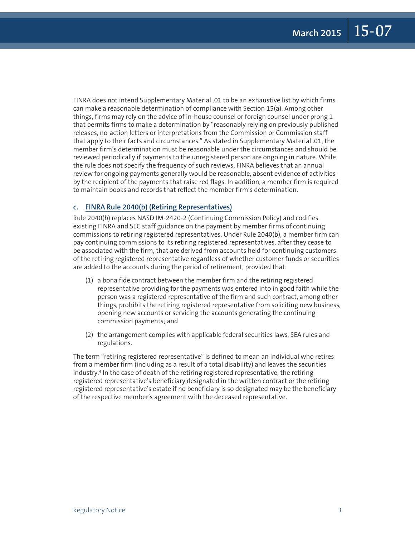FINRA does not intend Supplementary Material .01 to be an exhaustive list by which firms can make a reasonable determination of compliance with Section 15(a). Among other things, firms may rely on the advice of in-house counsel or foreign counsel under prong 1 that permits firms to make a determination by "reasonably relying on previously published releases, no-action letters or interpretations from the Commission or Commission staff that apply to their facts and circumstances." As stated in Supplementary Material .01, the member firm's determination must be reasonable under the circumstances and should be reviewed periodically if payments to the unregistered person are ongoing in nature. While the rule does not specify the frequency of such reviews, FINRA believes that an annual review for ongoing payments generally would be reasonable, absent evidence of activities by the recipient of the payments that raise red flags. In addition, a member firm is required to maintain books and records that reflect the member firm's determination.

#### **c. FINRA Rule 2040(b) (Retiring Representatives)**

Rule 2040(b) replaces NASD IM-2420-2 (Continuing Commission Policy) and codifies existing FINRA and SEC staff guidance on the payment by member firms of continuing commissions to retiring registered representatives. Under Rule 2040(b), a member firm can pay continuing commissions to its retiring registered representatives, after they cease to be associated with the firm, that are derived from accounts held for continuing customers of the retiring registered representative regardless of whether customer funds or securities are added to the accounts during the period of retirement, provided that:

- (1) a bona fide contract between the member firm and the retiring registered representative providing for the payments was entered into in good faith while the person was a registered representative of the firm and such contract, among other things, prohibits the retiring registered representative from soliciting new business, opening new accounts or servicing the accounts generating the continuing commission payments; and
- (2) the arrangement complies with applicable federal securities laws, SEA rules and regulations.

The term "retiring registered representative" is defined to mean an individual who retires from a member firm (including as a result of a total disability) and leaves the securities industry.4 In the case of death of the retiring registered representative, the retiring registered representative's beneficiary designated in the written contract or the retiring registered representative's estate if no beneficiary is so designated may be the beneficiary of the respective member's agreement with the deceased representative.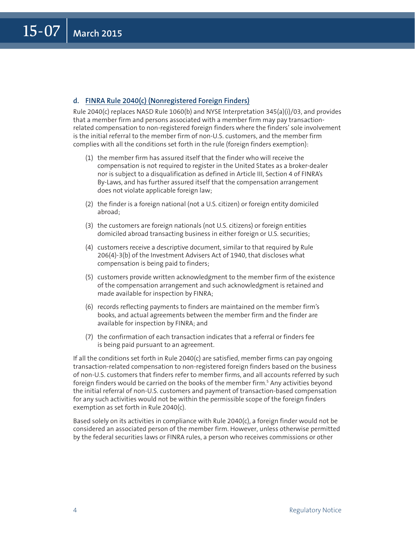#### **d. FINRA Rule 2040(c) (Nonregistered Foreign Finders)**

Rule 2040(c) replaces NASD Rule 1060(b) and NYSE Interpretation 345(a)(i)/03, and provides that a member firm and persons associated with a member firm may pay transactionrelated compensation to non-registered foreign finders where the finders' sole involvement is the initial referral to the member firm of non-U.S. customers, and the member firm complies with all the conditions set forth in the rule (foreign finders exemption):

- (1) the member firm has assured itself that the finder who will receive the compensation is not required to register in the United States as a broker-dealer nor is subject to a disqualification as defined in Article III, Section 4 of FINRA's By-Laws, and has further assured itself that the compensation arrangement does not violate applicable foreign law;
- (2) the finder is a foreign national (not a U.S. citizen) or foreign entity domiciled abroad;
- (3) the customers are foreign nationals (not U.S. citizens) or foreign entities domiciled abroad transacting business in either foreign or U.S. securities;
- (4) customers receive a descriptive document, similar to that required by Rule 206(4)-3(b) of the Investment Advisers Act of 1940, that discloses what compensation is being paid to finders;
- (5) customers provide written acknowledgment to the member firm of the existence of the compensation arrangement and such acknowledgment is retained and made available for inspection by FINRA;
- (6) records reflecting payments to finders are maintained on the member firm's books, and actual agreements between the member firm and the finder are available for inspection by FINRA; and
- (7) the confirmation of each transaction indicates that a referral or finders fee is being paid pursuant to an agreement.

If all the conditions set forth in Rule 2040(c) are satisfied, member firms can pay ongoing transaction-related compensation to non-registered foreign finders based on the business of non-U.S. customers that finders refer to member firms, and all accounts referred by such foreign finders would be carried on the books of the member firm.<sup>5</sup> Any activities beyond the initial referral of non-U.S. customers and payment of transaction-based compensation for any such activities would not be within the permissible scope of the foreign finders exemption as set forth in Rule 2040(c).

Based solely on its activities in compliance with Rule 2040(c), a foreign finder would not be considered an associated person of the member firm. However, unless otherwise permitted by the federal securities laws or FINRA rules, a person who receives commissions or other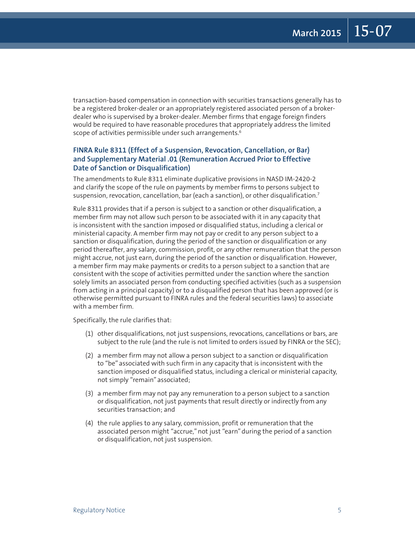transaction-based compensation in connection with securities transactions generally has to be a registered broker-dealer or an appropriately registered associated person of a brokerdealer who is supervised by a broker-dealer. Member firms that engage foreign finders would be required to have reasonable procedures that appropriately address the limited scope of activities permissible under such arrangements.<sup>6</sup>

#### **FINRA Rule 8311 (Effect of a Suspension, Revocation, Cancellation, or Bar) and Supplementary Material .01 (Remuneration Accrued Prior to Effective Date of Sanction or Disqualification)**

The amendments to Rule 8311 eliminate duplicative provisions in NASD IM-2420-2 and clarify the scope of the rule on payments by member firms to persons subject to suspension, revocation, cancellation, bar (each a sanction), or other disqualification.<sup>7</sup>

Rule 8311 provides that if a person is subject to a sanction or other disqualification, a member firm may not allow such person to be associated with it in any capacity that is inconsistent with the sanction imposed or disqualified status, including a clerical or ministerial capacity. A member firm may not pay or credit to any person subject to a sanction or disqualification, during the period of the sanction or disqualification or any period thereafter, any salary, commission, profit, or any other remuneration that the person might accrue, not just earn, during the period of the sanction or disqualification. However, a member firm may make payments or credits to a person subject to a sanction that are consistent with the scope of activities permitted under the sanction where the sanction solely limits an associated person from conducting specified activities (such as a suspension from acting in a principal capacity) or to a disqualified person that has been approved (or is otherwise permitted pursuant to FINRA rules and the federal securities laws) to associate with a member firm.

Specifically, the rule clarifies that:

- (1) other disqualifications, not just suspensions, revocations, cancellations or bars, are subject to the rule (and the rule is not limited to orders issued by FINRA or the SEC);
- (2) a member firm may not allow a person subject to a sanction or disqualification to "be" associated with such firm in any capacity that is inconsistent with the sanction imposed or disqualified status, including a clerical or ministerial capacity, not simply "remain" associated;
- (3) a member firm may not pay any remuneration to a person subject to a sanction or disqualification, not just payments that result directly or indirectly from any securities transaction; and
- (4) the rule applies to any salary, commission, profit or remuneration that the associated person might "accrue," not just "earn" during the period of a sanction or disqualification, not just suspension.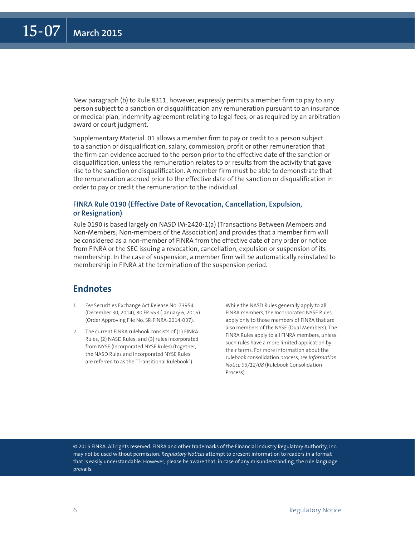New paragraph (b) to Rule 8311, however, expressly permits a member firm to pay to any person subject to a sanction or disqualification any remuneration pursuant to an insurance or medical plan, indemnity agreement relating to legal fees, or as required by an arbitration award or court judgment.

Supplementary Material .01 allows a member firm to pay or credit to a person subject to a sanction or disqualification, salary, commission, profit or other remuneration that the firm can evidence accrued to the person prior to the effective date of the sanction or disqualification, unless the remuneration relates to or results from the activity that gave rise to the sanction or disqualification. A member firm must be able to demonstrate that the remuneration accrued prior to the effective date of the sanction or disqualification in order to pay or credit the remuneration to the individual.

#### **FINRA Rule 0190 (Effective Date of Revocation, Cancellation, Expulsion, or Resignation)**

Rule 0190 is based largely on NASD IM-2420-1(a) (Transactions Between Members and Non-Members; Non-members of the Association) and provides that a member firm will be considered as a non-member of FINRA from the effective date of any order or notice from FINRA or the SEC issuing a revocation, cancellation, expulsion or suspension of its membership. In the case of suspension, a member firm will be automatically reinstated to membership in FINRA at the termination of the suspension period.

## **Endnotes**

- 1. *See* Securities Exchange Act Release No. 73954 (December 30, 2014), 80 FR 553 (January 6, 2015) (Order Approving File No. SR-FINRA-2014-037).
- 2. The current FINRA rulebook consists of (1) FINRA Rules; (2) NASD Rules; and (3) rules incorporated from NYSE (Incorporated NYSE Rules) (together, the NASD Rules and Incorporated NYSE Rules are referred to as the "Transitional Rulebook").

While the NASD Rules generally apply to all FINRA members, the Incorporated NYSE Rules apply only to those members of FINRA that are also members of the NYSE (Dual Members). The FINRA Rules apply to all FINRA members, unless such rules have a more limited application by their terms. For more information about the rulebook consolidation process, *see Information Notice 03/12/08* (Rulebook Consolidation Process).

© 2015 FINRA. All rights reserved. FINRA and other trademarks of the Financial Industry Regulatory Authority, Inc. may not be used without permission. *Regulatory Notices* attempt to present information to readers in a format that is easily understandable. However, please be aware that, in case of any misunderstanding, the rule language prevails.